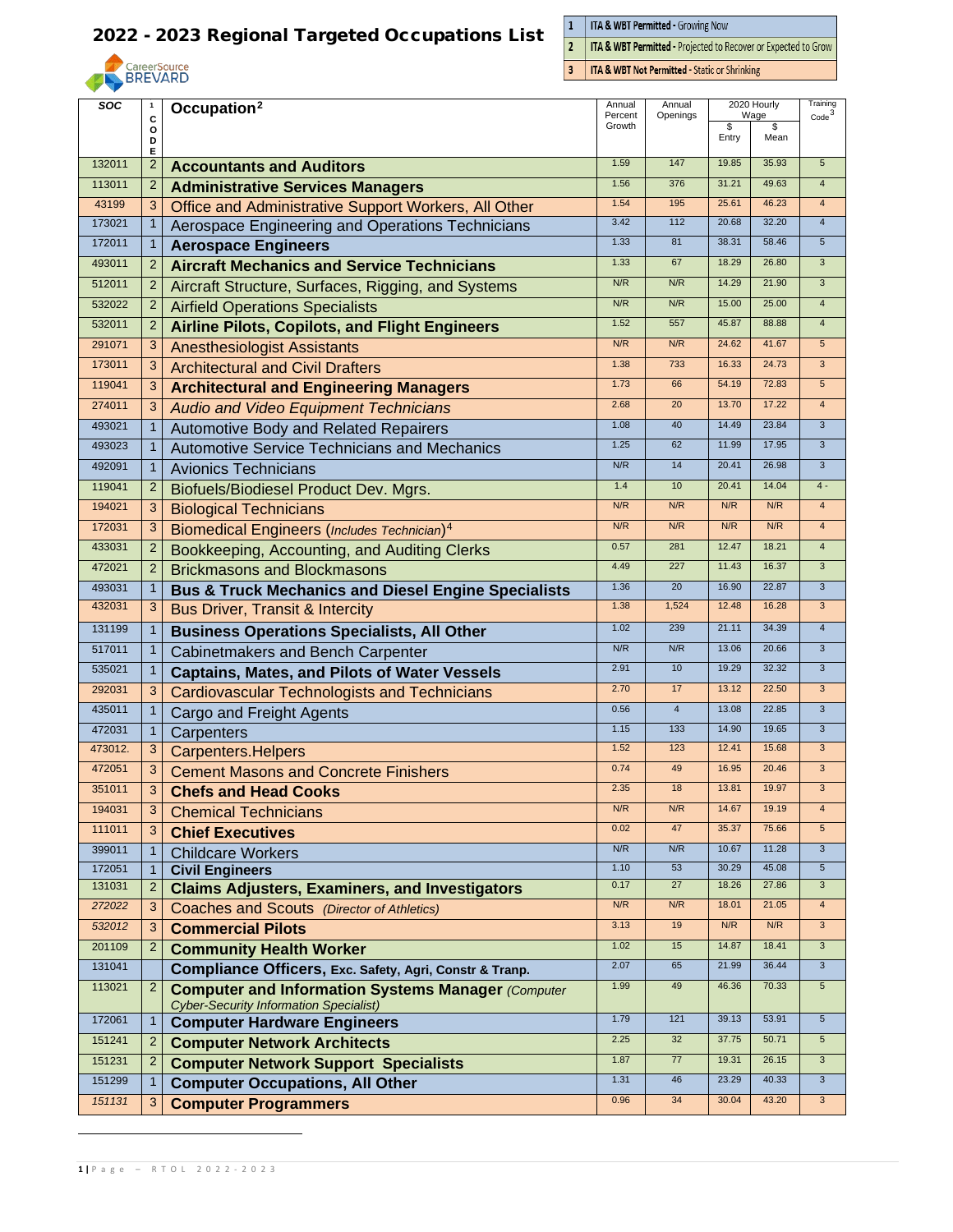

 $\frac{1}{2}$ **ITA & WBT Permitted - Growing Now** 

ITA & WBT Permitted - Projected to Recover or Expected to Grow

 $\overline{\mathbf{3}}$ **ITA & WBT Not Permitted - Static or Shrinking** 

<span id="page-0-0"></span>

| soc     | $\mathbf{1}$   | Occupation <sup>2</sup>                                        | Annual<br>Percent | Annual         |       | 2020 Hourly | Training                |
|---------|----------------|----------------------------------------------------------------|-------------------|----------------|-------|-------------|-------------------------|
|         | C<br>o         |                                                                |                   | Openings       | \$    | Wage<br>\$  | Code <sup>3</sup>       |
|         | D<br>Е         |                                                                |                   |                | Entry | Mean        |                         |
| 132011  | $\overline{2}$ | <b>Accountants and Auditors</b>                                | 1.59              | 147            | 19.85 | 35.93       | 5                       |
| 113011  | $\overline{2}$ | <b>Administrative Services Managers</b>                        | 1.56              | 376            | 31.21 | 49.63       | $\overline{4}$          |
| 43199   | 3              | Office and Administrative Support Workers, All Other           | 1.54              | 195            | 25.61 | 46.23       | $\overline{4}$          |
| 173021  | $\mathbf{1}$   | Aerospace Engineering and Operations Technicians               | 3.42              | 112            | 20.68 | 32.20       | $\overline{4}$          |
| 172011  | $\mathbf 1$    | <b>Aerospace Engineers</b>                                     | 1.33              | 81             | 38.31 | 58.46       | $5\phantom{.0}$         |
| 493011  | $\overline{2}$ | <b>Aircraft Mechanics and Service Technicians</b>              | 1.33              | 67             | 18.29 | 26.80       | 3                       |
| 512011  | $\overline{2}$ | Aircraft Structure, Surfaces, Rigging, and Systems             | N/R               | N/R            | 14.29 | 21.90       | 3                       |
| 532022  | $\overline{2}$ | <b>Airfield Operations Specialists</b>                         | N/R               | N/R            | 15.00 | 25.00       | $\overline{4}$          |
| 532011  | $\overline{2}$ | <b>Airline Pilots, Copilots, and Flight Engineers</b>          | 1.52              | 557            | 45.87 | 88.88       | $\overline{4}$          |
| 291071  | 3              | <b>Anesthesiologist Assistants</b>                             | N/R               | N/R            | 24.62 | 41.67       | 5                       |
| 173011  | 3              | <b>Architectural and Civil Drafters</b>                        | 1.38              | 733            | 16.33 | 24.73       | $\overline{3}$          |
| 119041  | 3              | <b>Architectural and Engineering Managers</b>                  | 1.73              | 66             | 54.19 | 72.83       | $5\phantom{.0}$         |
| 274011  | 3              | <b>Audio and Video Equipment Technicians</b>                   | 2.68              | 20             | 13.70 | 17.22       | $\overline{4}$          |
| 493021  | $\mathbf{1}$   | Automotive Body and Related Repairers                          | 1.08              | 40             | 14.49 | 23.84       | $\mathbf{3}$            |
| 493023  | $\mathbf{1}$   | <b>Automotive Service Technicians and Mechanics</b>            | 1.25              | 62             | 11.99 | 17.95       | 3                       |
| 492091  | $\mathbf{1}$   | <b>Avionics Technicians</b>                                    | N/R               | 14             | 20.41 | 26.98       | $\mathbf{3}$            |
| 119041  | $\overline{2}$ | Biofuels/Biodiesel Product Dev. Mgrs.                          | 1.4               | 10             | 20.41 | 14.04       | $4 -$                   |
| 194021  | 3              | <b>Biological Technicians</b>                                  | N/R               | N/R            | N/R   | N/R         | $\overline{4}$          |
| 172031  | 3              | Biomedical Engineers (Includes Technician) <sup>4</sup>        | N/R               | N/R            | N/R   | N/R         | $\overline{4}$          |
| 433031  | $\overline{2}$ | Bookkeeping, Accounting, and Auditing Clerks                   | 0.57              | 281            | 12.47 | 18.21       | $\overline{\mathbf{4}}$ |
| 472021  | 2              | <b>Brickmasons and Blockmasons</b>                             | 4.49              | 227            | 11.43 | 16.37       | 3                       |
| 493031  | $\mathbf{1}$   | <b>Bus &amp; Truck Mechanics and Diesel Engine Specialists</b> | 1.36              | 20             | 16.90 | 22.87       | $\mathbf{3}$            |
| 432031  | 3              | <b>Bus Driver, Transit &amp; Intercity</b>                     | 1.38              | 1,524          | 12.48 | 16.28       | $\mathbf{3}$            |
| 131199  | $\mathbf{1}$   | <b>Business Operations Specialists, All Other</b>              | 1.02              | 239            | 21.11 | 34.39       | $\overline{4}$          |
| 517011  | $\mathbf{1}$   | Cabinetmakers and Bench Carpenter                              | N/R               | N/R            | 13.06 | 20.66       | $\mathbf{3}$            |
| 535021  | $\mathbf{1}$   | <b>Captains, Mates, and Pilots of Water Vessels</b>            | 2.91              | 10             | 19.29 | 32.32       | $\overline{3}$          |
| 292031  | 3              | <b>Cardiovascular Technologists and Technicians</b>            | 2.70              | 17             | 13.12 | 22.50       | $\overline{3}$          |
| 435011  | $\mathbf 1$    | Cargo and Freight Agents                                       | 0.56              | $\overline{4}$ | 13.08 | 22.85       | $\mathbf{3}$            |
| 472031  | $\mathbf{1}$   | Carpenters                                                     | 1.15              | 133            | 14.90 | 19.65       | $\mathbf{3}$            |
| 473012. | 3              | <b>Carpenters.Helpers</b>                                      | 1.52              | 123            | 12.41 | 15.68       | $\overline{3}$          |
| 472051  | 3              | <b>Cement Masons and Concrete Finishers</b>                    | 0.74              | 49             | 16.95 | 20.46       | $\overline{3}$          |
| 351011  | 3              | <b>Chefs and Head Cooks</b>                                    | 2.35              | 18             | 13.81 | 19.97       | 3                       |
| 194031  | 3              | <b>Chemical Technicians</b>                                    | N/R               | N/R            | 14.67 | 19.19       | $\overline{4}$          |
| 111011  | 3              | <b>Chief Executives</b>                                        | 0.02              | 47             | 35.37 | 75.66       | $5\overline{)}$         |
| 399011  | $\mathbf{1}$   | <b>Childcare Workers</b>                                       | N/R               | N/R            | 10.67 | 11.28       | $\mathbf{3}$            |
| 172051  | $\mathbf 1$    | <b>Civil Engineers</b>                                         | 1.10              | 53             | 30.29 | 45.08       | $\sqrt{5}$              |
| 131031  | $\overline{2}$ | <b>Claims Adjusters, Examiners, and Investigators</b>          | 0.17              | 27             | 18.26 | 27.86       | 3                       |
| 272022  | 3              | Coaches and Scouts (Director of Athletics)                     | N/R               | N/R            | 18.01 | 21.05       | $\overline{4}$          |
| 532012  | 3              | <b>Commercial Pilots</b>                                       | 3.13              | 19             | N/R   | N/R         | $\mathbf{3}$            |
| 201109  | 2              | <b>Community Health Worker</b>                                 | 1.02              | 15             | 14.87 | 18.41       | $\mathbf{3}$            |
| 131041  |                | Compliance Officers, Exc. Safety, Agri, Constr & Tranp.        | 2.07              | 65             | 21.99 | 36.44       | $\mathbf{3}$            |
| 113021  | $\overline{2}$ | <b>Computer and Information Systems Manager (Computer</b>      | 1.99              | 49             | 46.36 | 70.33       | $5\phantom{.0}$         |
|         |                | <b>Cyber-Security Information Specialist)</b>                  |                   |                |       |             |                         |
| 172061  | $\mathbf{1}$   | <b>Computer Hardware Engineers</b>                             | 1.79              | 121            | 39.13 | 53.91       | $5\overline{)}$         |
| 151241  | $\overline{2}$ | <b>Computer Network Architects</b>                             | 2.25              | 32             | 37.75 | 50.71       | $\sqrt{5}$              |
| 151231  | $\overline{2}$ | <b>Computer Network Support Specialists</b>                    | 1.87              | 77             | 19.31 | 26.15       | $\overline{3}$          |
| 151299  | $\mathbf{1}$   | <b>Computer Occupations, All Other</b>                         | 1.31              | 46             | 23.29 | 40.33       | $\overline{3}$          |
| 151131  | 3              | <b>Computer Programmers</b>                                    | 0.96              | 34             | 30.04 | 43.20       | $\mathbf{3}$            |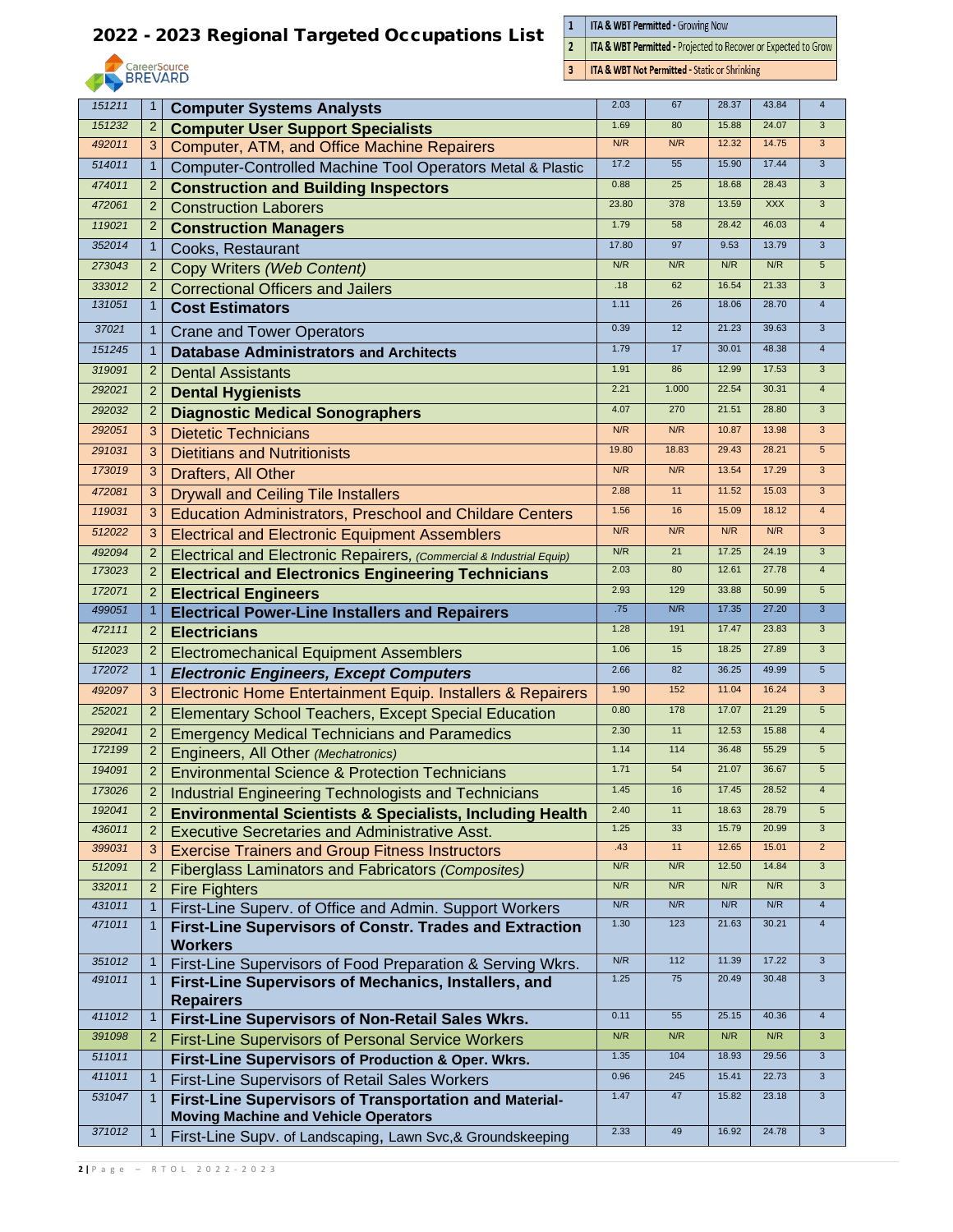

 $\frac{1}{2}$ **ITA & WBT Permitted - Growing Now** 

 $\overline{\mathbf{3}}$ 

ITA & WBT Permitted - Projected to Recover or Expected to Grow

**ITA & WBT Not Permitted - Static or Shrinking** 

|        |                |                                                                      | 2.03  | 67    | 28.37 | 43.84          | $\overline{4}$          |
|--------|----------------|----------------------------------------------------------------------|-------|-------|-------|----------------|-------------------------|
| 151211 | $\mathbf{1}$   | <b>Computer Systems Analysts</b>                                     |       |       |       |                |                         |
| 151232 | $\overline{2}$ | <b>Computer User Support Specialists</b>                             | 1.69  | 80    | 15.88 | 24.07          | 3                       |
| 492011 | 3              | Computer, ATM, and Office Machine Repairers                          | N/R   | N/R   | 12.32 | 14.75          | 3                       |
| 514011 | $\mathbf 1$    | Computer-Controlled Machine Tool Operators Metal & Plastic           | 17.2  | 55    | 15.90 | 17.44          | 3                       |
| 474011 | $\overline{2}$ | <b>Construction and Building Inspectors</b>                          | 0.88  | 25    | 18.68 | 28.43          | $\overline{3}$          |
| 472061 | $\overline{2}$ | <b>Construction Laborers</b>                                         | 23.80 | 378   | 13.59 | <b>XXX</b>     | $\mathsf 3$             |
| 119021 | $\overline{2}$ | <b>Construction Managers</b>                                         | 1.79  | 58    | 28.42 | 46.03          | $\overline{\mathbf{4}}$ |
| 352014 | $\mathbf 1$    | Cooks, Restaurant                                                    | 17.80 | 97    | 9.53  | 13.79          | $\overline{3}$          |
| 273043 | $\overline{2}$ | Copy Writers (Web Content)                                           | N/R   | N/R   | N/R   | N/R            | $5\phantom{.0}$         |
| 333012 | $\overline{2}$ | <b>Correctional Officers and Jailers</b>                             | .18   | 62    | 16.54 | 21.33          | 3                       |
| 131051 | $\mathbf{1}$   | <b>Cost Estimators</b>                                               | 1.11  | 26    | 18.06 | 28.70          | $\overline{4}$          |
| 37021  | $\mathbf{1}$   | <b>Crane and Tower Operators</b>                                     | 0.39  | 12    | 21.23 | 39.63          | $\mathbf{3}$            |
| 151245 | 1              | <b>Database Administrators and Architects</b>                        | 1.79  | 17    | 30.01 | 48.38          | $\overline{4}$          |
| 319091 | $\overline{2}$ | <b>Dental Assistants</b>                                             | 1.91  | 86    | 12.99 | 17.53          | $\overline{3}$          |
| 292021 | $\overline{2}$ | <b>Dental Hygienists</b>                                             | 2.21  | 1.000 | 22.54 | 30.31          | $\overline{\mathbf{4}}$ |
| 292032 | $\overline{2}$ | <b>Diagnostic Medical Sonographers</b>                               | 4.07  | 270   | 21.51 | 28.80          | $\overline{3}$          |
| 292051 | 3              | <b>Dietetic Technicians</b>                                          | N/R   | N/R   | 10.87 | 13.98          | $\overline{3}$          |
| 291031 | 3              | <b>Dietitians and Nutritionists</b>                                  | 19.80 | 18.83 | 29.43 | 28.21          | 5 <sup>5</sup>          |
| 173019 | 3              | Drafters, All Other                                                  | N/R   | N/R   | 13.54 | 17.29          | $\overline{3}$          |
| 472081 |                |                                                                      | 2.88  | 11    | 11.52 | 15.03          | 3                       |
| 119031 | 3              | <b>Drywall and Ceiling Tile Installers</b>                           | 1.56  | 16    | 15.09 | 18.12          | $\overline{4}$          |
|        | 3              | <b>Education Administrators, Preschool and Childare Centers</b>      | N/R   | N/R   | N/R   | N/R            | 3                       |
| 512022 | 3              | <b>Electrical and Electronic Equipment Assemblers</b>                |       |       |       |                |                         |
| 492094 | $\overline{2}$ | Electrical and Electronic Repairers, (Commercial & Industrial Equip) | N/R   | 21    | 17.25 | 24.19<br>27.78 | 3                       |
| 173023 | $\overline{2}$ | <b>Electrical and Electronics Engineering Technicians</b>            | 2.03  | 80    | 12.61 |                | $\overline{\mathbf{4}}$ |
| 172071 | $\overline{2}$ | <b>Electrical Engineers</b>                                          | 2.93  | 129   | 33.88 | 50.99          | $5\overline{)}$         |
| 499051 | $\mathbf 1$    | <b>Electrical Power-Line Installers and Repairers</b>                | .75   | N/R   | 17.35 | 27.20          | 3                       |
| 472111 | $\overline{2}$ | <b>Electricians</b>                                                  | 1.28  | 191   | 17.47 | 23.83          | 3                       |
| 512023 | $\overline{2}$ | <b>Electromechanical Equipment Assemblers</b>                        | 1.06  | 15    | 18.25 | 27.89          | 3                       |
| 172072 | $\mathbf{1}$   | <b>Electronic Engineers, Except Computers</b>                        | 2.66  | 82    | 36.25 | 49.99          | $5\overline{)}$         |
| 492097 | 3              | Electronic Home Entertainment Equip. Installers & Repairers          | 1.90  | 152   | 11.04 | 16.24          | 3                       |
| 252021 | $\overline{2}$ | <b>Elementary School Teachers, Except Special Education</b>          | 0.80  | 178   | 17.07 | 21.29          | $\sqrt{5}$              |
| 292041 | $\overline{2}$ | <b>Emergency Medical Technicians and Paramedics</b>                  | 2.30  | 11    | 12.53 | 15.88          | $\overline{\mathbf{4}}$ |
| 172199 | $\overline{2}$ | Engineers, All Other (Mechatronics)                                  | 1.14  | 114   | 36.48 | 55.29          | $5\phantom{.0}$         |
| 194091 | $\overline{2}$ | <b>Environmental Science &amp; Protection Technicians</b>            | 1.71  | 54    | 21.07 | 36.67          | $\overline{5}$          |
| 173026 |                | <b>Industrial Engineering Technologists and Technicians</b>          | 1.45  | 16    | 17.45 | 28.52          |                         |
| 192041 | $\overline{2}$ | <b>Environmental Scientists &amp; Specialists, Including Health</b>  | 2.40  | 11    | 18.63 | 28.79          | $5\overline{)}$         |
| 436011 | $\overline{2}$ | <b>Executive Secretaries and Administrative Asst.</b>                | 1.25  | 33    | 15.79 | 20.99          | $\mathbf{3}$            |
| 399031 | 3              | <b>Exercise Trainers and Group Fitness Instructors</b>               | .43   | 11    | 12.65 | 15.01          | $\overline{2}$          |
| 512091 | $\overline{2}$ | Fiberglass Laminators and Fabricators (Composites)                   | N/R   | N/R   | 12.50 | 14.84          | $\mathbf{3}$            |
| 332011 | $\overline{2}$ | <b>Fire Fighters</b>                                                 | N/R   | N/R   | N/R   | N/R            | $\mathbf{3}$            |
| 431011 | $\mathbf{1}$   | First-Line Superv. of Office and Admin. Support Workers              | N/R   | N/R   | N/R   | N/R            | $\overline{4}$          |
| 471011 | $\mathbf{1}$   | <b>First-Line Supervisors of Constr. Trades and Extraction</b>       | 1.30  | 123   | 21.63 | 30.21          | $\overline{4}$          |
|        |                | <b>Workers</b>                                                       |       |       |       |                |                         |
| 351012 | $\mathbf{1}$   | First-Line Supervisors of Food Preparation & Serving Wkrs.           | N/R   | 112   | 11.39 | 17.22          | $\mathsf 3$             |
| 491011 | $\mathbf{1}$   | First-Line Supervisors of Mechanics, Installers, and                 | 1.25  | 75    | 20.49 | 30.48          | $\mathbf{3}$            |
|        |                | <b>Repairers</b>                                                     |       |       |       |                |                         |
| 411012 | $\mathbf{1}$   | First-Line Supervisors of Non-Retail Sales Wkrs.                     | 0.11  | 55    | 25.15 | 40.36          | $\overline{4}$          |
| 391098 | $\overline{2}$ | <b>First-Line Supervisors of Personal Service Workers</b>            | N/R   | N/R   | N/R   | N/R            | $\mathbf{3}$            |
| 511011 |                | First-Line Supervisors of Production & Oper. Wkrs.                   | 1.35  | 104   | 18.93 | 29.56          | $\mathbf{3}$            |
| 411011 | $\mathbf{1}$   | First-Line Supervisors of Retail Sales Workers                       | 0.96  | 245   | 15.41 | 22.73          | $\overline{3}$          |
| 531047 | $\mathbf{1}$   | First-Line Supervisors of Transportation and Material-               | 1.47  | 47    | 15.82 | 23.18          | $\mathbf{3}$            |
| 371012 |                | <b>Moving Machine and Vehicle Operators</b>                          | 2.33  | 49    | 16.92 | 24.78          | $\mathbf{3}$            |
|        | $\mathbf{1}$   | First-Line Supv. of Landscaping, Lawn Svc,& Groundskeeping           |       |       |       |                |                         |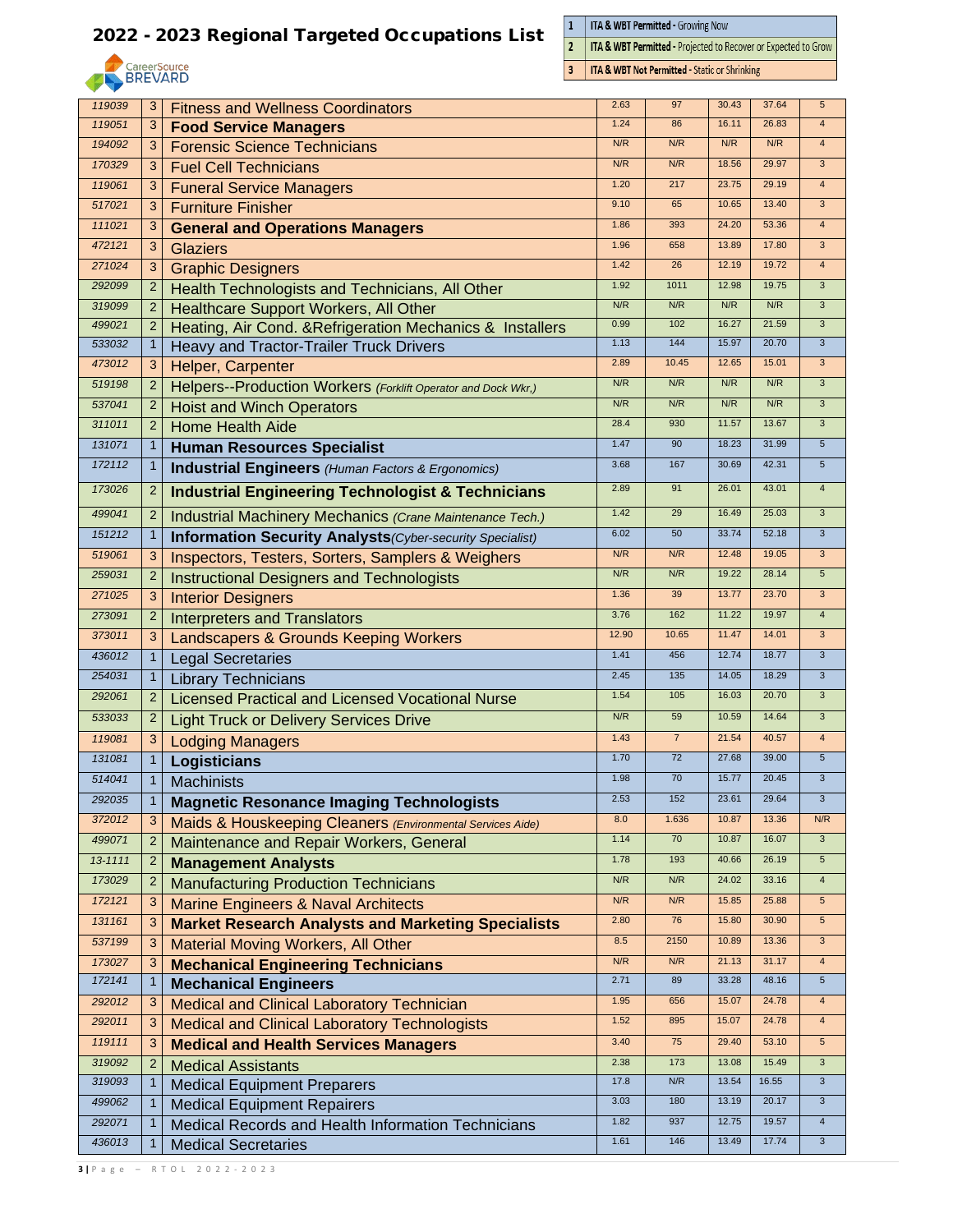

 $\frac{1}{2}$ **ITA & WBT Permitted - Growing Now** 

 $\overline{\mathbf{3}}$ 

ITA & WBT Permitted - Projected to Recover or Expected to Grow

**ITA & WBT Not Permitted - Static or Shrinking** 

|         |                |                                                                  | 2.63  | 97             |                | 37.64 |                                   |
|---------|----------------|------------------------------------------------------------------|-------|----------------|----------------|-------|-----------------------------------|
| 119039  | 3              | <b>Fitness and Wellness Coordinators</b>                         | 1.24  | 86             | 30.43<br>16.11 | 26.83 | $5\phantom{.0}$<br>$\overline{4}$ |
| 119051  | 3              | <b>Food Service Managers</b>                                     |       |                | N/R            | N/R   |                                   |
| 194092  | 3              | <b>Forensic Science Technicians</b>                              | N/R   | N/R            |                |       | $\overline{4}$                    |
| 170329  | 3              | <b>Fuel Cell Technicians</b>                                     | N/R   | N/R            | 18.56          | 29.97 | $\overline{3}$                    |
| 119061  | 3              | <b>Funeral Service Managers</b>                                  | 1.20  | 217            | 23.75          | 29.19 | $\overline{4}$                    |
| 517021  | 3              | <b>Furniture Finisher</b>                                        | 9.10  | 65             | 10.65          | 13.40 | $\mathbf{3}$                      |
| 111021  | 3              | <b>General and Operations Managers</b>                           | 1.86  | 393            | 24.20          | 53.36 | $\overline{4}$                    |
| 472121  | 3              | <b>Glaziers</b>                                                  | 1.96  | 658            | 13.89          | 17.80 | $\overline{3}$                    |
| 271024  | 3              | <b>Graphic Designers</b>                                         | 1.42  | 26             | 12.19          | 19.72 | $\overline{4}$                    |
| 292099  | $\overline{2}$ | <b>Health Technologists and Technicians, All Other</b>           | 1.92  | 1011           | 12.98          | 19.75 | $\overline{3}$                    |
| 319099  | 2              | Healthcare Support Workers, All Other                            | N/R   | N/R            | N/R            | N/R   | $\overline{3}$                    |
| 499021  | 2              | Heating, Air Cond. & Refrigeration Mechanics & Installers        | 0.99  | 102            | 16.27          | 21.59 | $\overline{3}$                    |
| 533032  | $\mathbf{1}$   | Heavy and Tractor-Trailer Truck Drivers                          | 1.13  | 144            | 15.97          | 20.70 | 3                                 |
| 473012  | 3              | Helper, Carpenter                                                | 2.89  | 10.45          | 12.65          | 15.01 | $\mathbf{3}$                      |
| 519198  | $\overline{2}$ | Helpers--Production Workers (Forklift Operator and Dock Wkr.)    | N/R   | N/R            | N/R            | N/R   | $\overline{3}$                    |
| 537041  | 2              | <b>Hoist and Winch Operators</b>                                 | N/R   | N/R            | N/R            | N/R   | $\overline{3}$                    |
| 311011  | $\overline{2}$ | <b>Home Health Aide</b>                                          | 28.4  | 930            | 11.57          | 13.67 | 3                                 |
| 131071  | $\mathbf{1}$   | <b>Human Resources Specialist</b>                                | 1.47  | 90             | 18.23          | 31.99 | $5\overline{)}$                   |
| 172112  | $\mathbf 1$    | <b>Industrial Engineers</b> (Human Factors & Ergonomics)         | 3.68  | 167            | 30.69          | 42.31 | $5\phantom{.0}$                   |
| 173026  | $\overline{2}$ | <b>Industrial Engineering Technologist &amp; Technicians</b>     | 2.89  | 91             | 26.01          | 43.01 | $\overline{4}$                    |
|         |                |                                                                  | 1.42  | 29             | 16.49          | 25.03 | $\mathbf{3}$                      |
| 499041  | $\overline{2}$ | Industrial Machinery Mechanics (Crane Maintenance Tech.)         |       |                | 33.74          | 52.18 | $\overline{3}$                    |
| 151212  | $\mathbf{1}$   | <b>Information Security Analysts</b> (Cyber-security Specialist) | 6.02  | 50             |                |       |                                   |
| 519061  | 3              | Inspectors, Testers, Sorters, Samplers & Weighers                | N/R   | N/R            | 12.48          | 19.05 | $\overline{3}$                    |
| 259031  | $\overline{2}$ | <b>Instructional Designers and Technologists</b>                 | N/R   | N/R            | 19.22          | 28.14 | $5\phantom{.0}$                   |
| 271025  | 3              | <b>Interior Designers</b>                                        | 1.36  | 39             | 13.77          | 23.70 | 3                                 |
| 273091  | $\overline{2}$ | <b>Interpreters and Translators</b>                              | 3.76  | 162            | 11.22          | 19.97 | $\overline{4}$                    |
| 373011  | 3              | <b>Landscapers &amp; Grounds Keeping Workers</b>                 | 12.90 | 10.65          | 11.47          | 14.01 | 3                                 |
| 436012  | $\mathbf{1}$   | <b>Legal Secretaries</b>                                         | 1.41  | 456            | 12.74          | 18.77 | $\overline{3}$                    |
| 254031  | $\mathbf{1}$   | <b>Library Technicians</b>                                       | 2.45  | 135            | 14.05          | 18.29 | $\overline{3}$                    |
| 292061  | $\overline{2}$ | <b>Licensed Practical and Licensed Vocational Nurse</b>          | 1.54  | 105            | 16.03          | 20.70 | $\mathbf{3}$                      |
| 533033  | 2              | <b>Light Truck or Delivery Services Drive</b>                    | N/R   | 59             | 10.59          | 14.64 | 3                                 |
| 119081  | 3              | <b>Lodging Managers</b>                                          | 1.43  | $\overline{7}$ | 21.54          | 40.57 | $\overline{4}$                    |
| 131081  | $\mathbf{1}$   | Logisticians                                                     | 1.70  | 72             | 27.68          | 39.00 | $5\phantom{.0}$                   |
| 514041  | $\mathbf{1}$   | <b>Machinists</b>                                                | 1.98  | 70             | 15.77          | 20.45 | $\mathbf{3}$                      |
| 292035  | $\mathbf{1}$   | <b>Magnetic Resonance Imaging Technologists</b>                  | 2.53  | 152            | 23.61          | 29.64 | $\overline{3}$                    |
| 372012  | 3              | Maids & Houskeeping Cleaners (Environmental Services Aide)       | 8.0   | 1.636          | 10.87          | 13.36 | N/R                               |
| 499071  | $\overline{2}$ | Maintenance and Repair Workers, General                          | 1.14  | 70             | 10.87          | 16.07 | $\mathbf{3}$                      |
| 13-1111 | $\overline{2}$ | <b>Management Analysts</b>                                       | 1.78  | 193            | 40.66          | 26.19 | $5\phantom{.0}$                   |
| 173029  | $\overline{2}$ | <b>Manufacturing Production Technicians</b>                      | N/R   | N/R            | 24.02          | 33.16 | $\overline{4}$                    |
| 172121  | 3              | <b>Marine Engineers &amp; Naval Architects</b>                   | N/R   | N/R            | 15.85          | 25.88 | $\sqrt{5}$                        |
| 131161  | 3              |                                                                  | 2.80  | 76             | 15.80          | 30.90 | $5\phantom{.0}$                   |
| 537199  | 3              | <b>Market Research Analysts and Marketing Specialists</b>        | 8.5   | 2150           | 10.89          | 13.36 | $\mathbf{3}$                      |
| 173027  |                | <b>Material Moving Workers, All Other</b>                        | N/R   | N/R            | 21.13          | 31.17 | $\overline{4}$                    |
| 172141  | 3              | <b>Mechanical Engineering Technicians</b>                        | 2.71  | 89             | 33.28          | 48.16 | $5\phantom{.0}$                   |
|         | $\mathbf{1}$   | <b>Mechanical Engineers</b>                                      | 1.95  | 656            | 15.07          | 24.78 | $\overline{4}$                    |
| 292012  | 3              | Medical and Clinical Laboratory Technician                       | 1.52  | 895            | 15.07          | 24.78 | $\overline{4}$                    |
| 292011  | 3              | <b>Medical and Clinical Laboratory Technologists</b>             |       |                |                |       | $5\phantom{.0}$                   |
| 119111  | 3              | <b>Medical and Health Services Managers</b>                      | 3.40  | 75             | 29.40          | 53.10 |                                   |
| 319092  | $\overline{2}$ | <b>Medical Assistants</b>                                        | 2.38  | 173            | 13.08          | 15.49 | $\overline{3}$                    |
| 319093  | $\mathbf{1}$   | <b>Medical Equipment Preparers</b>                               | 17.8  | N/R            | 13.54          | 16.55 | $\mathbf{3}$                      |
| 499062  | $\mathbf{1}$   | <b>Medical Equipment Repairers</b>                               | 3.03  | 180            | 13.19          | 20.17 | $\sqrt{3}$                        |
| 292071  | $\mathbf{1}$   | Medical Records and Health Information Technicians               | 1.82  | 937            | 12.75          | 19.57 | $\overline{4}$                    |
| 436013  | $\mathbf 1$    | <b>Medical Secretaries</b>                                       | 1.61  | 146            | 13.49          | 17.74 | $\mathbf{3}$                      |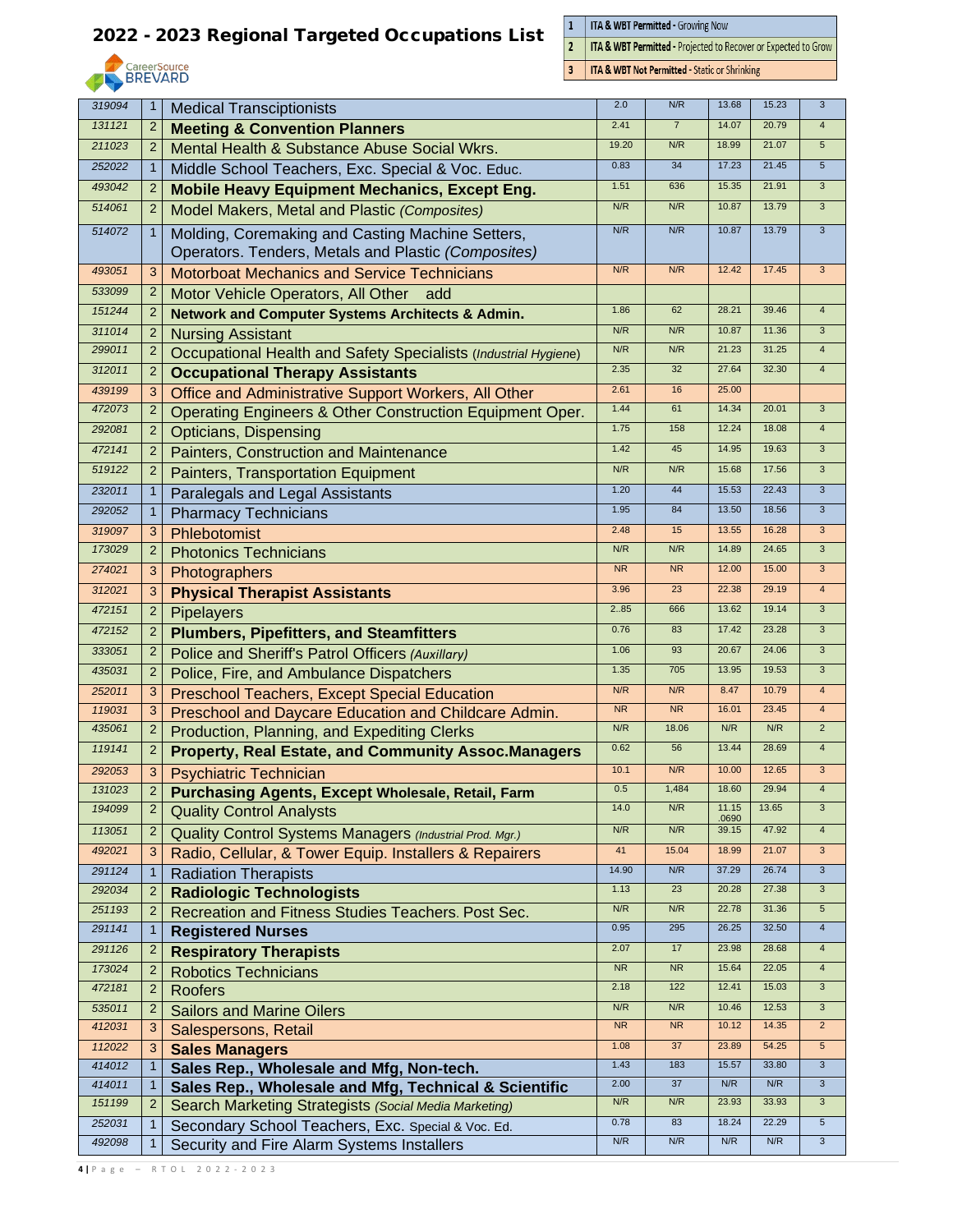

 $\frac{1}{2}$ **ITA & WBT Permitted - Growing Now** 

 $\overline{\mathbf{3}}$ 

ITA & WBT Permitted - Projected to Recover or Expected to Grow

**ITA & WBT Not Permitted - Static or Shrinking** 

| 319094           | $\mathbf{1}$        | <b>Medical Transciptionists</b>                                                                         | 2.0       | N/R            | 13.68          | 15.23 | 3                         |
|------------------|---------------------|---------------------------------------------------------------------------------------------------------|-----------|----------------|----------------|-------|---------------------------|
| 131121           | $\overline{c}$      | <b>Meeting &amp; Convention Planners</b>                                                                | 2.41      | $\overline{7}$ | 14.07          | 20.79 | $\overline{4}$            |
| 211023           | 2                   | Mental Health & Substance Abuse Social Wkrs.                                                            | 19.20     | N/R            | 18.99          | 21.07 | 5                         |
| 252022           | $\mathbf{1}$        | Middle School Teachers, Exc. Special & Voc. Educ.                                                       | 0.83      | 34             | 17.23          | 21.45 | $5\phantom{.0}$           |
| 493042           | $\overline{2}$      | <b>Mobile Heavy Equipment Mechanics, Except Eng.</b>                                                    | 1.51      | 636            | 15.35          | 21.91 | $\overline{3}$            |
| 514061           | $\overline{2}$      | Model Makers, Metal and Plastic (Composites)                                                            | N/R       | N/R            | 10.87          | 13.79 | 3                         |
| 514072           | $\mathbf{1}$        | Molding, Coremaking and Casting Machine Setters,<br>Operators. Tenders, Metals and Plastic (Composites) | N/R       | N/R            | 10.87          | 13.79 | $\mathbf{3}$              |
| 493051           | 3                   | <b>Motorboat Mechanics and Service Technicians</b>                                                      | N/R       | N/R            | 12.42          | 17.45 | $\mathbf{3}$              |
| 533099           | $\overline{2}$      | Motor Vehicle Operators, All Other<br>add                                                               |           |                |                |       |                           |
| 151244           | $\overline{2}$      | <b>Network and Computer Systems Architects &amp; Admin.</b>                                             | 1.86      | 62             | 28.21          | 39.46 | $\overline{4}$            |
| 311014           | $\overline{2}$      | <b>Nursing Assistant</b>                                                                                | N/R       | N/R            | 10.87          | 11.36 | $\mathbf{3}$              |
| 299011           | $\overline{c}$      | Occupational Health and Safety Specialists (Industrial Hygiene)                                         | N/R       | N/R            | 21.23          | 31.25 | $\overline{4}$            |
| 312011           | 2                   | <b>Occupational Therapy Assistants</b>                                                                  | 2.35      | 32             | 27.64          | 32.30 | $\overline{4}$            |
| 439199           | 3                   | Office and Administrative Support Workers, All Other                                                    | 2.61      | 16             | 25.00          |       |                           |
| 472073           | $\overline{2}$      | Operating Engineers & Other Construction Equipment Oper.                                                | 1.44      | 61             | 14.34          | 20.01 | $\overline{3}$            |
| 292081           | $\overline{2}$      | <b>Opticians, Dispensing</b>                                                                            | 1.75      | 158            | 12.24          | 18.08 | $\overline{4}$            |
| 472141           | $\overline{2}$      | Painters, Construction and Maintenance                                                                  | 1.42      | 45             | 14.95          | 19.63 | $\mathbf{3}$              |
| 519122           | $\overline{2}$      | Painters, Transportation Equipment                                                                      | N/R       | N/R            | 15.68          | 17.56 | $\mathbf{3}$              |
| 232011           | $\mathbf{1}$        | Paralegals and Legal Assistants                                                                         | 1.20      | 44             | 15.53          | 22.43 | $\overline{3}$            |
| 292052           | $\mathbf{1}$        | <b>Pharmacy Technicians</b>                                                                             | 1.95      | 84             | 13.50          | 18.56 | $\mathbf{3}$              |
| 319097           | 3                   | Phlebotomist                                                                                            | 2.48      | 15             | 13.55          | 16.28 | $\overline{3}$            |
| 173029           | $\overline{2}$      | <b>Photonics Technicians</b>                                                                            | N/R       | N/R            | 14.89          | 24.65 | $\overline{3}$            |
| 274021           | 3                   | Photographers                                                                                           | <b>NR</b> | <b>NR</b>      | 12.00          | 15.00 | 3                         |
| 312021           | 3                   | <b>Physical Therapist Assistants</b>                                                                    | 3.96      | 23             | 22.38          | 29.19 | $\overline{4}$            |
| 472151           | $\overline{c}$      | <b>Pipelayers</b>                                                                                       | 2.85      | 666            | 13.62          | 19.14 | 3                         |
| 472152           | $\overline{c}$      |                                                                                                         | 0.76      | 83             | 17.42          | 23.28 | 3                         |
| 333051           | $\overline{2}$      | <b>Plumbers, Pipefitters, and Steamfitters</b>                                                          | 1.06      | 93             | 20.67          | 24.06 | 3                         |
| 435031           | $\overline{2}$      | Police and Sheriff's Patrol Officers (Auxillary)                                                        | 1.35      | 705            | 13.95          | 19.53 | $\overline{3}$            |
|                  |                     | Police, Fire, and Ambulance Dispatchers                                                                 | N/R       | N/R            | 8.47           | 10.79 | $\overline{4}$            |
| 252011<br>119031 | 3                   | <b>Preschool Teachers, Except Special Education</b>                                                     | <b>NR</b> | <b>NR</b>      | 16.01          | 23.45 | $\overline{4}$            |
| 435061           | 3<br>$\overline{2}$ | Preschool and Daycare Education and Childcare Admin.                                                    | N/R       | 18.06          | N/R            | N/R   | $\overline{2}$            |
| 119141           |                     | Production, Planning, and Expediting Clerks                                                             | 0.62      | 56             | 13.44          | 28.69 | $\overline{\mathbf{4}}$   |
|                  | $\overline{2}$      | <b>Property, Real Estate, and Community Assoc.Managers</b>                                              |           |                |                |       |                           |
| 292053           | 3                   | <b>Psychiatric Technician</b>                                                                           | 10.1      | N/R            | 10.00          | 12.65 | 3                         |
| 131023           |                     | <b>Purchasing Agents, Except Wholesale, Retail, Farm</b>                                                | 0.5       | 1,484          | 18.60<br>11.15 | 29.94 | $\overline{3}$            |
| 194099           | $\overline{c}$      | <b>Quality Control Analysts</b>                                                                         | 14.0      | N/R            | .0690          | 13.65 |                           |
| 113051           | $\overline{c}$      | Quality Control Systems Managers (Industrial Prod. Mgr.)                                                | N/R       | N/R            | 39.15          | 47.92 | $\overline{4}$            |
| 492021           | 3                   | Radio, Cellular, & Tower Equip. Installers & Repairers                                                  | 41        | 15.04          | 18.99          | 21.07 | $\mathbf{3}$              |
| 291124           | 1                   | <b>Radiation Therapists</b>                                                                             | 14.90     | N/R            | 37.29          | 26.74 | $\mathbf{3}$              |
| 292034           | $\overline{c}$      | <b>Radiologic Technologists</b>                                                                         | 1.13      | 23             | 20.28          | 27.38 | 3                         |
| 251193           | 2                   | Recreation and Fitness Studies Teachers. Post Sec.                                                      | N/R       | N/R            | 22.78          | 31.36 | $\sqrt{5}$                |
| 291141           | 1                   | <b>Registered Nurses</b>                                                                                | 0.95      | 295            | 26.25          | 32.50 | $\overline{4}$            |
| 291126           | 2                   | <b>Respiratory Therapists</b>                                                                           | 2.07      | 17             | 23.98          | 28.68 | $\overline{4}$            |
| 173024           | $\overline{2}$      | <b>Robotics Technicians</b>                                                                             | <b>NR</b> | ${\sf NR}$     | 15.64          | 22.05 | $\overline{4}$            |
| 472181           | $\overline{2}$      | <b>Roofers</b>                                                                                          | 2.18      | 122            | 12.41          | 15.03 | $\mathbf{3}$              |
| 535011           | $\overline{c}$      | <b>Sailors and Marine Oilers</b>                                                                        | N/R       | N/R            | 10.46          | 12.53 | $\ensuremath{\mathsf{3}}$ |
| 412031           | 3                   | Salespersons, Retail                                                                                    | <b>NR</b> | <b>NR</b>      | 10.12          | 14.35 | $\overline{2}$            |
| 112022           | 3                   | <b>Sales Managers</b>                                                                                   | 1.08      | 37             | 23.89          | 54.25 | $\sqrt{5}$                |
| 414012           |                     | Sales Rep., Wholesale and Mfg, Non-tech.                                                                | 1.43      | 183            | 15.57          | 33.80 | $\mathbf{3}$              |
| 414011           |                     | Sales Rep., Wholesale and Mfg, Technical & Scientific                                                   | 2.00      | 37             | N/R            | N/R   | $\mathbf{3}$              |
| 151199           | 2                   | Search Marketing Strategists (Social Media Marketing)                                                   | N/R       | N/R            | 23.93          | 33.93 | $\ensuremath{\mathsf{3}}$ |
| 252031           |                     | Secondary School Teachers, Exc. Special & Voc. Ed.                                                      | 0.78      | 83             | 18.24          | 22.29 | $5\phantom{.0}$           |
| 492098           | 1                   | Security and Fire Alarm Systems Installers                                                              | N/R       | N/R            | N/R            | N/R   | 3                         |